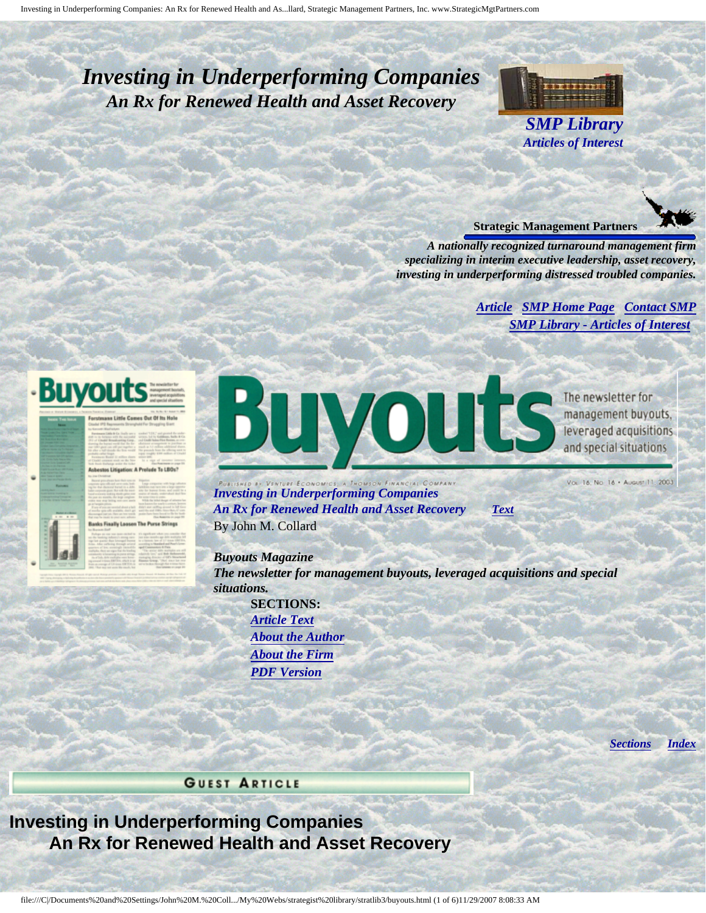# <span id="page-0-4"></span><span id="page-0-3"></span>*Investing in Underperforming Companies An Rx for Renewed Health and Asset Recovery*



*SMP Library Articles of Interest* 



*A nationally recognized turnaround management firm specializing in interim executive leadership, asset recovery, investing in underperforming distressed troubled companies.* 

#### *[Article](#page-0-0) [SMP Home Page](http://members.aol.com/strategist/home.html#TOP) [Contact SMP](#page-4-0)  [SMP Library - Articles of Interest](http://members.aol.com/stratlib3/libindx.html#TOP)*

<span id="page-0-0"></span>

<span id="page-0-2"></span>is Finally Loosen The Purse St



The newsletter for management buyouts, leveraged acquisitions and special situations

*Investing in Underperforming Companies An Rx for Renewed Health and Asset Recovery [Text](#page-0-1)*  By John M. Collard

Vol. 16, No. 16 . August 11, 2003

*Buyouts Magazine The newsletter for management buyouts, leveraged acquisitions and special situations.*  **SECTIONS:** 

*[Article Text](#page-0-1) [About the Author](#page-3-0)  [About the Firm](#page-4-1) [PDF Version](http://members.aol.com/stratlib/bm-iiup.pdf)* 

*[Sections](#page-0-2) [Index](#page-0-3)* 

**GUEST ARTICLE** 

<span id="page-0-1"></span>**Investing in Underperforming Companies An Rx for Renewed Health and Asset Recovery**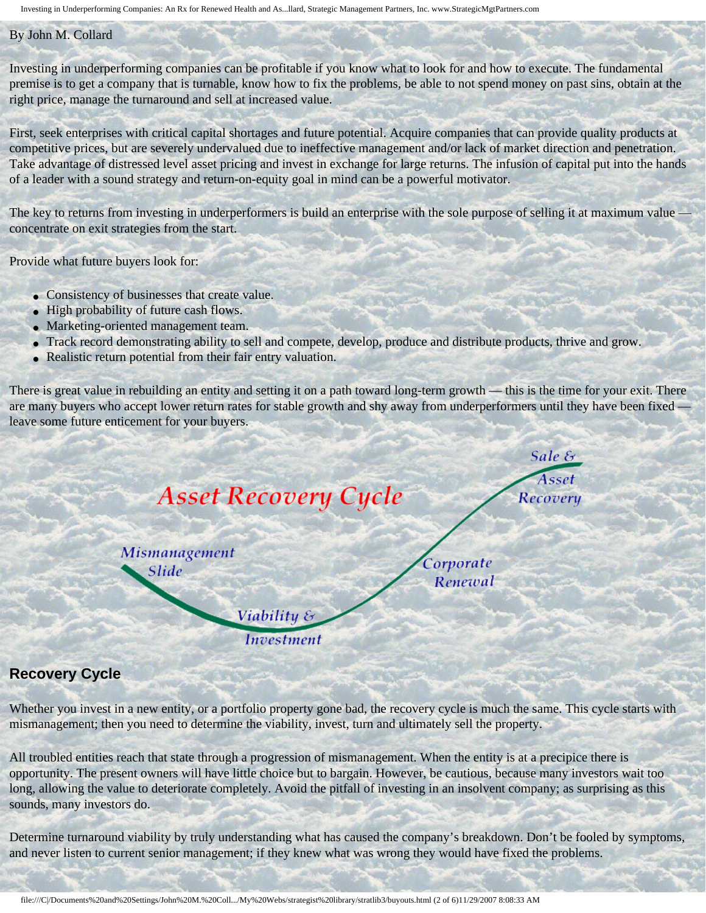Investing in Underperforming Companies: An Rx for Renewed Health and As...llard, Strategic Management Partners, Inc. www.StrategicMgtPartners.com

#### By John M. Collard

Investing in underperforming companies can be profitable if you know what to look for and how to execute. The fundamental right price, manage the turnaround and sell at increased value. premise is to get a company that is turnable, know how to fix the problems, be able to not spend money on past sins, obtain at the

competitive prices, but are severely undervalued due to ineffective management and/or lack of market direction and penetration. of a leader with a sound strategy and return-on-equity goal in mind can be a powerful motivator. First, seek enterprises with critical capital shortages and future potential. Acquire companies that can provide quality products at Take advantage of distressed level asset pricing and invest in exchange for large returns. The infusion of capital put into the hands

concentrate on exit strategies from the start. The key to returns from investing in underperformers is build an enterprise with the sole purpose of selling it at maximum value —

Provide what future buyers look for:

- Consistency of businesses that create value.
- High probability of future cash flows.
- Marketing-oriented management team.
- Track record demonstrating ability to sell and compete, develop, produce and distribute products, thrive and grow.
- Realistic return potential from their fair entry valuation.

are many buyers who accept lower return rates for stable growth and shy away from underperformers until they have been fixed leave some future enticement for your buyers. There is great value in rebuilding an entity and setting it on a path toward long-term growth — this is the time for your exit. There



### **Recovery Cycle**

mismanagement; then you need to determine the viability, invest, turn and ultimately sell the property. Whether you invest in a new entity, or a portfolio property gone bad, the recovery cycle is much the same. This cycle starts with

All troubled entities reach that state through a progression of mismanagement. When the entity is at a precipice there is opportunity. The present owners will have little choice but to bargain. However, be cautious, because many investors wait too sounds, many investors do. long, allowing the value to deteriorate completely. Avoid the pitfall of investing in an insolvent company; as surprising as this

Determine turnaround viability by truly understanding what has caused the company's breakdown. Don't be fooled by symptoms, and never listen to current senior management; if they knew what was wrong they would have fixed the problems.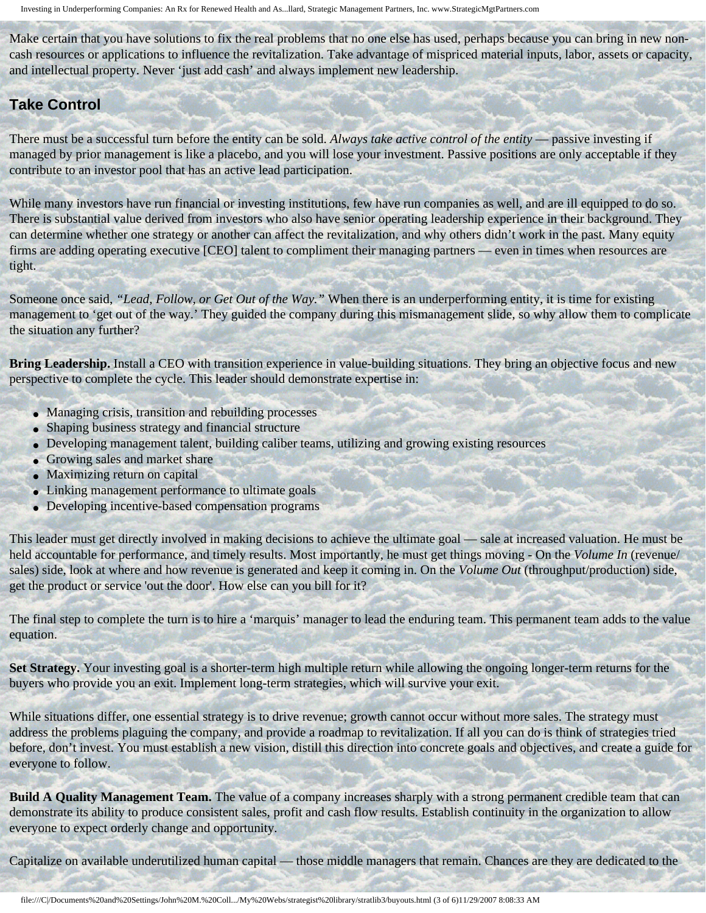Make certain that you have solutions to fix the real problems that no one else has used, perhaps because you can bring in new noncash resources or applications to influence the revitalization. Take advantage of mispriced material inputs, labor, assets or capacity, and intellectual property. Never 'just add cash' and always implement new leadership.

### **Take Control**

There must be a successful turn before the entity can be sold. *Always take active control of the entity* — passive investing if managed by prior management is like a placebo, and you will lose your investment. Passive positions are only acceptable if they contribute to an investor pool that has an active lead participation.

While many investors have run financial or investing institutions, few have run companies as well, and are ill equipped to do so. There is substantial value derived from investors who also have senior operating leadership experience in their background. They can determine whether one strategy or another can affect the revitalization, and why others didn't work in the past. Many equity firms are adding operating executive [CEO] talent to compliment their managing partners — even in times when resources are tight.

Someone once said, *"Lead, Follow, or Get Out of the Way."* When there is an underperforming entity, it is time for existing management to 'get out of the way.' They guided the company during this mismanagement slide, so why allow them to complicate the situation any further?

**Bring Leadership.** Install a CEO with transition experience in value-building situations. They bring an objective focus and new perspective to complete the cycle. This leader should demonstrate expertise in:

- Managing crisis, transition and rebuilding processes
- Shaping business strategy and financial structure
- Developing management talent, building caliber teams, utilizing and growing existing resources
- Growing sales and market share
- Maximizing return on capital
- Linking management performance to ultimate goals
- Developing incentive-based compensation programs

This leader must get directly involved in making decisions to achieve the ultimate goal — sale at increased valuation. He must be held accountable for performance, and timely results. Most importantly, he must get things moving - On the *Volume In* (revenue/ sales) side, look at where and how revenue is generated and keep it coming in. On the *Volume Out* (throughput/production) side, get the product or service 'out the door'. How else can you bill for it?

The final step to complete the turn is to hire a 'marquis' manager to lead the enduring team. This permanent team adds to the value equation.

**Set Strategy.** Your investing goal is a shorter-term high multiple return while allowing the ongoing longer-term returns for the buyers who provide you an exit. Implement long-term strategies, which will survive your exit.

While situations differ, one essential strategy is to drive revenue; growth cannot occur without more sales. The strategy must address the problems plaguing the company, and provide a roadmap to revitalization. If all you can do is think of strategies tried before, don't invest. You must establish a new vision, distill this direction into concrete goals and objectives, and create a guide for everyone to follow.

**Build A Quality Management Team.** The value of a company increases sharply with a strong permanent credible team that can demonstrate its ability to produce consistent sales, profit and cash flow results. Establish continuity in the organization to allow everyone to expect orderly change and opportunity.

Capitalize on available underutilized human capital — those middle managers that remain. Chances are they are dedicated to the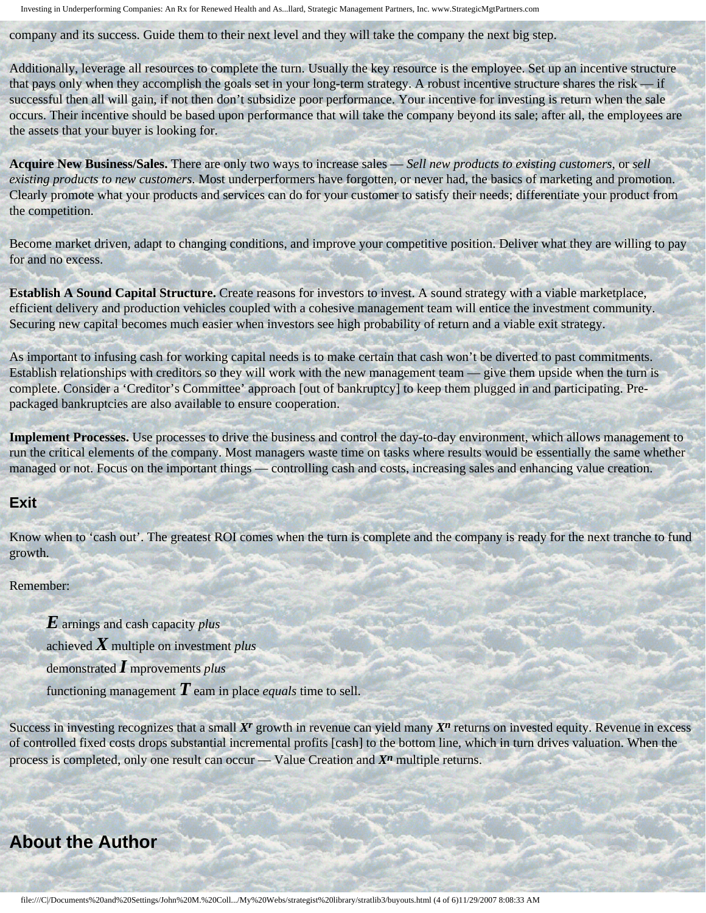Investing in Underperforming Companies: An Rx for Renewed Health and As...llard, Strategic Management Partners, Inc. www.StrategicMgtPartners.com

company and its success. Guide them to their next level and they will take the company the next big step.

Additionally, leverage all resources to complete the turn. Usually the key resource is the employee. Set up an incentive structure that pays only when they accomplish the goals set in your long-term strategy. A robust incentive structure shares the risk — if successful then all will gain, if not then don't subsidize poor performance. Your incentive for investing is return when the sale occurs. Their incentive should be based upon performance that will take the company beyond its sale; after all, the employees are the assets that your buyer is looking for.

**Acquire New Business/Sales.** There are only two ways to increase sales — *Sell new products to existing customers*, or *sell existing products to new customers*. Most underperformers have forgotten, or never had, the basics of marketing and promotion. Clearly promote what your products and services can do for your customer to satisfy their needs; differentiate your product from the competition.

Become market driven, adapt to changing conditions, and improve your competitive position. Deliver what they are willing to pay for and no excess.

**Establish A Sound Capital Structure.** Create reasons for investors to invest. A sound strategy with a viable marketplace, efficient delivery and production vehicles coupled with a cohesive management team will entice the investment community. Securing new capital becomes much easier when investors see high probability of return and a viable exit strategy.

As important to infusing cash for working capital needs is to make certain that cash won't be diverted to past commitments. Establish relationships with creditors so they will work with the new management team — give them upside when the turn is complete. Consider a 'Creditor's Committee' approach [out of bankruptcy] to keep them plugged in and participating. Prepackaged bankruptcies are also available to ensure cooperation.

**Implement Processes.** Use processes to drive the business and control the day-to-day environment, which allows management to run the critical elements of the company. Most managers waste time on tasks where results would be essentially the same whether managed or not. Focus on the important things — controlling cash and costs, increasing sales and enhancing value creation.

#### **Exit**

Know when to 'cash out'. The greatest ROI comes when the turn is complete and the company is ready for the next tranche to fund growth.

#### Remember:

*E* arnings and cash capacity *plus* 

achieved *X* multiple on investment *plus* 

demonstrated *I* mprovements *plus* 

functioning management  $\boldsymbol{T}$  eam in place *equals* time to sell.

Success in investing recognizes that a small X<sup>*r*</sup> growth in revenue can yield many  $X^n$  returns on invested equity. Revenue in excess of controlled fixed costs drops substantial incremental profits [cash] to the bottom line, which in turn drives valuation. When the process is completed, only one result can occur — Value Creation and *Xn* multiple returns.

## <span id="page-3-0"></span>**About the Author**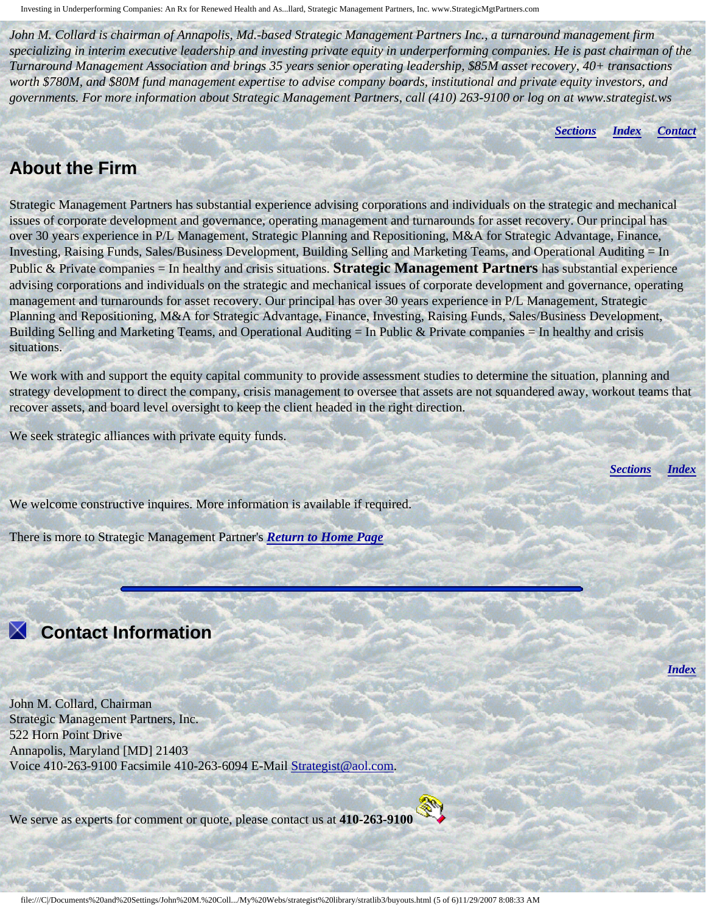*John M. Collard is chairman of Annapolis, Md.-based Strategic Management Partners Inc., a turnaround management firm Turnaround Management Association and brings 35 years senior operating leadership, \$85M asset recovery, 40+ transactions worth \$780M, and \$80M fund management expertise to advise company boards, institutional and private equity investors, and governments. For more information about Strategic Management Partners, call (410) 263-9100 or log on at www.strategist.ws specializing in interim executive leadership and investing private equity in underperforming companies. He is past chairman of the* 

*[Sections](#page-0-2) [Index](#page-0-3) [Contact](#page-4-0)* 

## <span id="page-4-1"></span>**About the Firm**

Strategic Management Partners has substantial experience advising corporations and individuals on the strategic and mechanical issues of corporate development and governance, operating management and turnarounds for asset recovery. Our principal has over 30 years experience in P/L Management, Strategic Planning and Repositioning, M&A for Strategic Advantage, Finance, Investing, Raising Funds, Sales/Business Development, Building Selling and Marketing Teams, and Operational Auditing = In Public & Private companies = In healthy and crisis situations. **Strategic Management Partners** has substantial experience advising corporations and individuals on the strategic and mechanical issues of corporate development and governance, operating management and turnarounds for asset recovery. Our principal has over 30 years experience in P/L Management, Strategic Planning and Repositioning, M&A for Strategic Advantage, Finance, Investing, Raising Funds, Sales/Business Development, Building Selling and Marketing Teams, and Operational Auditing  $=$  In Public & Private companies  $=$  In healthy and crisis situations.

We work with and support the equity capital community to provide assessment studies to determine the situation, planning and strategy development to direct the company, crisis management to oversee that assets are not squandered away, workout teams that recover assets, and board level oversight to keep the client headed in the right direction.

We seek strategic alliances with private equity funds.

*[Sections](#page-0-2) [Index](#page-0-3)* 

*[Index](#page-0-3)* 

We welcome constructive inquires. More information is available if required.

There is more to Strategic Management Partner's *[Return to Home Page](http://members.aol.com/strategist/home.html#TOP)*

# <span id="page-4-0"></span> **Contact Information**

John M. Collard, Chairman Strategic Management Partners, Inc. 522 Horn Point Drive Annapolis, Maryland [MD] 21403 Voice 410-263-9100 Facsimile 410-263-6094 E-Mail [Strategist@aol.com.](mailto:Strategist@aol.com?subject=SMPlibrary/feature articles)

We serve as experts for comment or quote, please contact us at **410-263-9100**